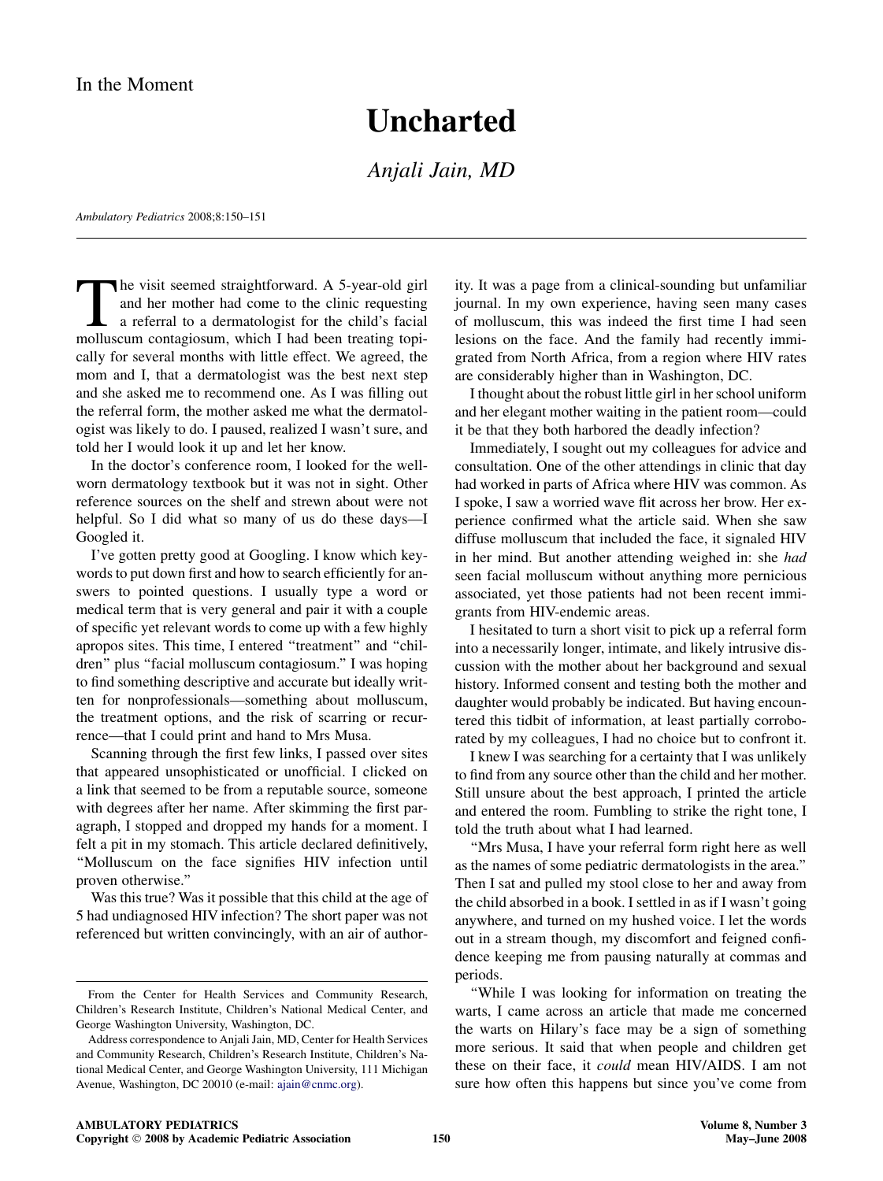## **Uncharted**

Anjali Jain, MD

Ambulatory Pediatrics 2008;8:150–151

The visit seemed straightforward. A 5-year-old girl<br>and her mother had come to the clinic requesting<br>a referral to a dermatologist for the child's facial<br>molluscum contagiosum which I had been treating topiand her mother had come to the clinic requesting a referral to a dermatologist for the child's facial molluscum contagiosum, which I had been treating topically for several months with little effect. We agreed, the mom and I, that a dermatologist was the best next step and she asked me to recommend one. As I was filling out the referral form, the mother asked me what the dermatologist was likely to do. I paused, realized I wasn't sure, and told her I would look it up and let her know.

In the doctor's conference room, I looked for the wellworn dermatology textbook but it was not in sight. Other reference sources on the shelf and strewn about were not helpful. So I did what so many of us do these days—I Googled it.

I've gotten pretty good at Googling. I know which keywords to put down first and how to search efficiently for answers to pointed questions. I usually type a word or medical term that is very general and pair it with a couple of specific yet relevant words to come up with a few highly apropos sites. This time, I entered "treatment" and "children'' plus ''facial molluscum contagiosum.'' I was hoping to find something descriptive and accurate but ideally written for nonprofessionals—something about molluscum, the treatment options, and the risk of scarring or recurrence—that I could print and hand to Mrs Musa.

Scanning through the first few links, I passed over sites that appeared unsophisticated or unofficial. I clicked on a link that seemed to be from a reputable source, someone with degrees after her name. After skimming the first paragraph, I stopped and dropped my hands for a moment. I felt a pit in my stomach. This article declared definitively, ''Molluscum on the face signifies HIV infection until proven otherwise.''

Was this true? Was it possible that this child at the age of 5 had undiagnosed HIV infection? The short paper was not referenced but written convincingly, with an air of authority. It was a page from a clinical-sounding but unfamiliar journal. In my own experience, having seen many cases of molluscum, this was indeed the first time I had seen lesions on the face. And the family had recently immigrated from North Africa, from a region where HIV rates are considerably higher than in Washington, DC.

I thought about the robust little girl in her school uniform and her elegant mother waiting in the patient room—could it be that they both harbored the deadly infection?

Immediately, I sought out my colleagues for advice and consultation. One of the other attendings in clinic that day had worked in parts of Africa where HIV was common. As I spoke, I saw a worried wave flit across her brow. Her experience confirmed what the article said. When she saw diffuse molluscum that included the face, it signaled HIV in her mind. But another attending weighed in: she had seen facial molluscum without anything more pernicious associated, yet those patients had not been recent immigrants from HIV-endemic areas.

I hesitated to turn a short visit to pick up a referral form into a necessarily longer, intimate, and likely intrusive discussion with the mother about her background and sexual history. Informed consent and testing both the mother and daughter would probably be indicated. But having encountered this tidbit of information, at least partially corroborated by my colleagues, I had no choice but to confront it.

I knew I was searching for a certainty that I was unlikely to find from any source other than the child and her mother. Still unsure about the best approach, I printed the article and entered the room. Fumbling to strike the right tone, I told the truth about what I had learned.

"Mrs Musa, I have your referral form right here as well as the names of some pediatric dermatologists in the area.'' Then I sat and pulled my stool close to her and away from the child absorbed in a book. I settled in as if I wasn't going anywhere, and turned on my hushed voice. I let the words out in a stream though, my discomfort and feigned confidence keeping me from pausing naturally at commas and periods.

''While I was looking for information on treating the warts, I came across an article that made me concerned the warts on Hilary's face may be a sign of something more serious. It said that when people and children get these on their face, it could mean HIV/AIDS. I am not sure how often this happens but since you've come from

From the Center for Health Services and Community Research, Children's Research Institute, Children's National Medical Center, and George Washington University, Washington, DC.

Address correspondence to Anjali Jain, MD, Center for Health Services and Community Research, Children's Research Institute, Children's National Medical Center, and George Washington University, 111 Michigan Avenue, Washington, DC 20010 (e-mail: [ajain@cnmc.org](mailto:ajain@cnmc.org)).